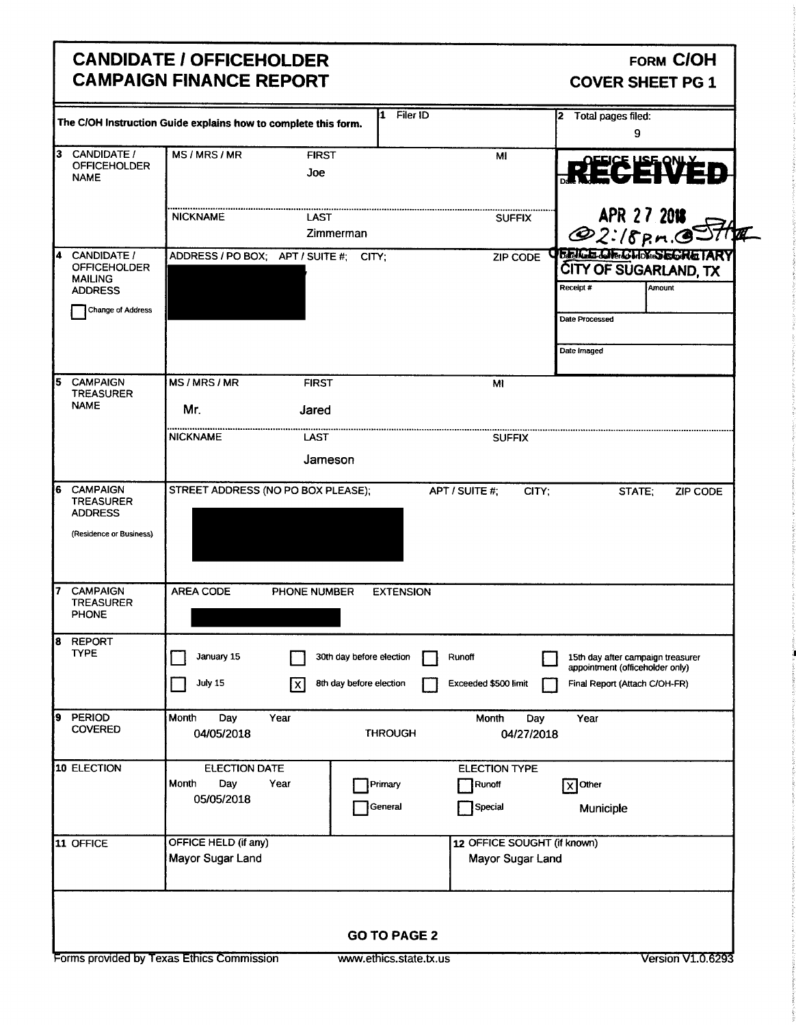# CANDIDATE / OFFICEHOLDER FORM COH CAMPAIGN FINANCE REPORT COVER SHEET PG 1

|                                                                                  | The C/OH Instruction Guide explains how to complete this form. | Filer ID<br>1                                       |                                                 | 2 Total pages filed:<br>9                                                                             |
|----------------------------------------------------------------------------------|----------------------------------------------------------------|-----------------------------------------------------|-------------------------------------------------|-------------------------------------------------------------------------------------------------------|
| 13<br>CANDIDATE /<br><b>OFFICEHOLDER</b><br><b>NAME</b>                          | MS/MRS/MR                                                      | <b>FIRST</b><br>Joe                                 | MI                                              | <b>RÉCEVED</b>                                                                                        |
|                                                                                  | <b>NICKNAME</b>                                                | LAST<br>Zimmerman                                   | <b>SUFFIX</b>                                   | APR 27 2018                                                                                           |
| <b>CANDIDATE /</b><br><b>OFFICEHOLDER</b><br><b>MAILING</b><br><b>ADDRESS</b>    | ADDRESS / PO BOX; APT / SUITE #; CITY;                         |                                                     | ZIP CODE                                        | <b>TERICE CIRICHEX SECRETARY</b><br>CITY OF SUGARLAND, TX<br>Amount<br>Receipt #                      |
| Change of Address                                                                |                                                                |                                                     |                                                 | Date Processed<br>Date Imaged                                                                         |
| <b>CAMPAIGN</b><br><b>TREASURER</b><br><b>NAME</b>                               | MS/MRS/MR                                                      | <b>FIRST</b>                                        | MI                                              |                                                                                                       |
|                                                                                  | Mr.<br><b>NICKNAME</b>                                         | Jared<br>LAST<br>Jameson                            | <b>SUFFIX</b>                                   |                                                                                                       |
| <b>CAMPAIGN</b><br><b>TREASURER</b><br><b>ADDRESS</b><br>(Residence or Business) | STREET ADDRESS (NO PO BOX PLEASE);                             |                                                     | APT / SUITE #:<br>CITY;                         | STATE;<br><b>ZIP CODE</b>                                                                             |
| <b>CAMPAIGN</b><br><b>TREASURER</b><br>PHONE                                     | <b>AREA CODE</b><br>PHONE NUMBER                               | <b>EXTENSION</b>                                    |                                                 |                                                                                                       |
| <b>REPORT</b><br>TYPE                                                            | January 15<br>$\Box$ July 15<br>$\boxed{\mathsf{x}}$           | 30th day before election<br>8th day before election | Runoff<br>Exceeded \$500 limit                  | 15th day after campaign treasurer<br>appointment (officeholder only)<br>Final Report (Attach C/OH-FR) |
| <b>PERIOD</b><br><b>COVERED</b>                                                  | Month<br>Day<br>Year<br>04/05/2018                             | <b>THROUGH</b>                                      | Month<br>Day<br>04/27/2018                      | Year                                                                                                  |
| 10 ELECTION                                                                      | <b>ELECTION DATE</b><br>Day<br>Year<br>Month<br>05/05/2018     | Primary<br>General                                  | <b>ELECTION TYPE</b><br>Runoff<br>Special       | $\sqrt{X}$ Other<br>Municiple                                                                         |
| 11 OFFICE                                                                        | OFFICE HELD (if any)<br>Mayor Sugar Land                       |                                                     | 12 OFFICE SOUGHT (if known)<br>Mayor Sugar Land |                                                                                                       |
|                                                                                  |                                                                | <b>GO TO PAGE 2</b>                                 |                                                 |                                                                                                       |
|                                                                                  | Forms provided by Texas Ethics Commission                      | www.ethics.state.tx.us                              |                                                 | <b>Version V1.0.6293</b>                                                                              |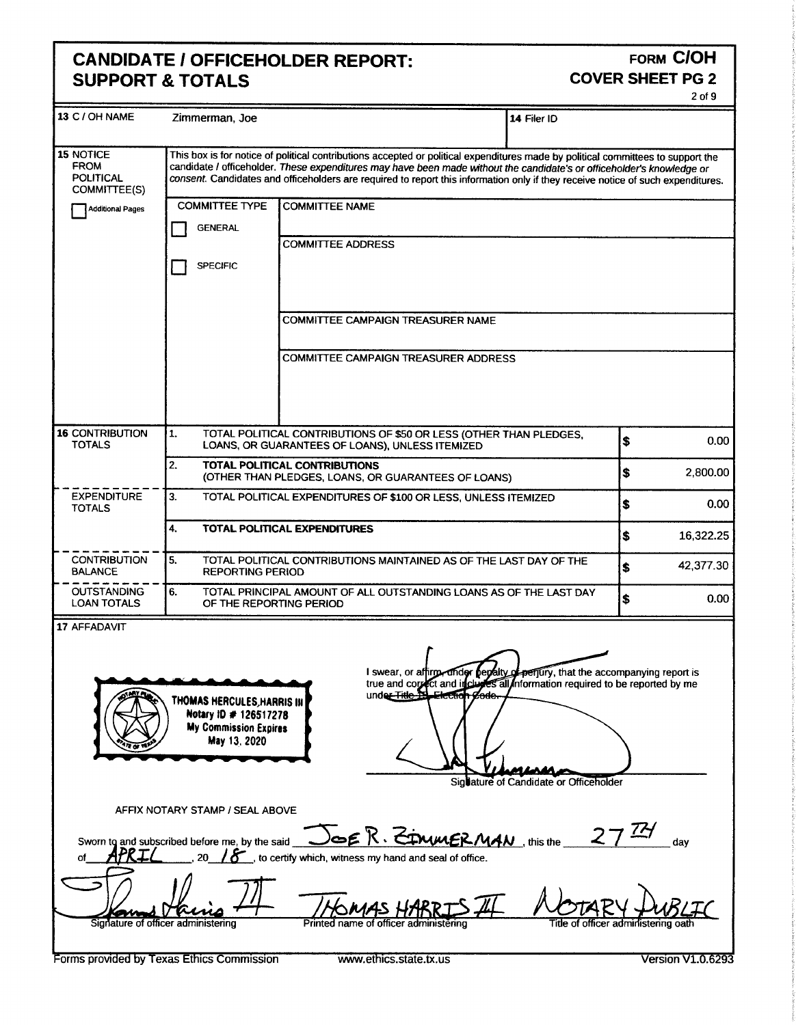# CANDIDATE / OFFICEHOLDER REPORT:<br>SUPPORT & TOTALS COVER SHEET PG 2 **SUPPORT & TOTALS**

| FORM C/OH<br>CANDIDATE / OFFICEHOLDER REPORT:<br><b>SUPPORT &amp; TOTALS</b><br><b>COVER SHEET PG 2</b>                                                                                                                                                                                                                                                          |  |  |  |
|------------------------------------------------------------------------------------------------------------------------------------------------------------------------------------------------------------------------------------------------------------------------------------------------------------------------------------------------------------------|--|--|--|
| 13 C / OH NAME Zimmerman, Joe<br>14 Filer ID<br>This box is for notice of political contributions accepted or political expenditures made by political committees to support the candidate / officeholder. These expenditures may have been made without the candidate's or of<br>POLITICAL<br>COMMITTEE(S)<br>COMMITTEE TYPE COMMITTEE NAME<br>Additional Pages |  |  |  |
| <b>T</b> GENERAL<br><b>COMMITTEE ADDRESS</b><br>$\Box$ SPECIFIC<br>COMMITTEE CAMPAIGN TREASURER NAME<br>COMMITTEE CAMPAIGN TREASURER ADDRESS                                                                                                                                                                                                                     |  |  |  |
| 16 CONTRIBUTION 1. TOTAL POLITICAL CONTRIBUTIONS OF \$50 OR LESS (OTHER THAN PLEDGES,<br>TOTALS LOANS, OR GUARANTEES OF LOANS), UNLESS ITEMIZED<br>TOTAL POLITICAL CONTRIBUTIONS<br>(OTHER THAN PLEDGES, LOANS, OR GUARANTEES OF LOANS)<br>2,800.00<br>EXPENDITURE<br>3. TOTAL POLITICAL EXPENDITURES OF \$100 OR LESS, UNLESS ITEMIZED                          |  |  |  |
| 4. TOTAL POLITICAL EXPENDITURES<br>16,322.25<br>- - CONTRIBUTION 5. TOTAL POLITICAL CONTRIBUTIONS MAINTAINED AS OF THE LAST DAY OF THE \$42,377.30                                                                                                                                                                                                               |  |  |  |
| I swear, or aftirm, under perclity of perfury, that the accompanying report is<br>true and correct and incluses all information required to be reported by me<br>under Title To Electron gode.<br>THOMAS HERCULES HARRIS IN Notary 1D # 126517278<br>Sig <b>u</b> ature of Candidate or Officeholder                                                             |  |  |  |
| of APRIL 20 18 its card Doe R. ETWALER MAN this the 27 <sup>72</sup> day<br>30 18 its certify which, witness my hand and seal of office.<br>Signature of officer administering Printed name of officer administering THE MOTARY DUBLIC                                                                                                                           |  |  |  |
| Forms provided by Texas Ethics Commission <b>WWW.ethics.state.tx.us</b><br>Version V1.0.6293                                                                                                                                                                                                                                                                     |  |  |  |
|                                                                                                                                                                                                                                                                                                                                                                  |  |  |  |
|                                                                                                                                                                                                                                                                                                                                                                  |  |  |  |
|                                                                                                                                                                                                                                                                                                                                                                  |  |  |  |
|                                                                                                                                                                                                                                                                                                                                                                  |  |  |  |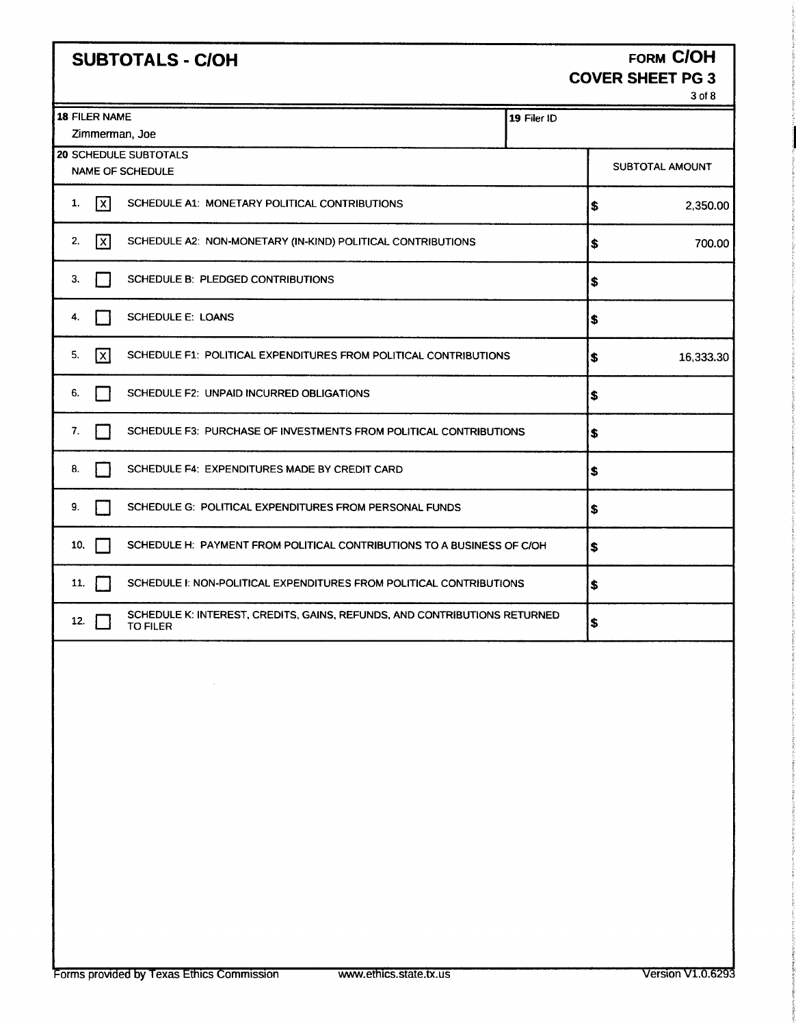| <b>SUBTOTALS - C/OH</b>   | <b>FORM C/OH</b>        |
|---------------------------|-------------------------|
|                           | <b>COVER SHEET PG 3</b> |
|                           | 3 of 8                  |
| FILER NAME                | 119 Filer ID            |
| Zimmerman, Joe            |                         |
| <b>SCHEDULE SUBTOTALS</b> |                         |

≍

|  |  | <b>JBTOTALS - C/OH</b> |  |  |
|--|--|------------------------|--|--|
|  |  |                        |  |  |

| <b>18 FILER NAME</b><br>Zimmerman, Joe                                                              | 19 Filer ID |                 |
|-----------------------------------------------------------------------------------------------------|-------------|-----------------|
| <b>20 SCHEDULE SUBTOTALS</b><br><b>NAME OF SCHEDULE</b>                                             |             | SUBTOTAL AMOUNT |
| $\sqrt{x}$<br>1.<br>SCHEDULE A1: MONETARY POLITICAL CONTRIBUTIONS                                   |             | 2,350.00<br>\$  |
| 2.<br>[x]<br>SCHEDULE A2: NON-MONETARY (IN-KIND) POLITICAL CONTRIBUTIONS                            |             | 700.00<br>\$    |
| SCHEDULE B: PLEDGED CONTRIBUTIONS<br>З.                                                             |             | \$              |
| <b>SCHEDULE E: LOANS</b><br>4.                                                                      |             | \$              |
| 5.<br>[x]<br>SCHEDULE F1: POLITICAL EXPENDITURES FROM POLITICAL CONTRIBUTIONS                       |             | 16,333.30<br>\$ |
| SCHEDULE F2: UNPAID INCURRED OBLIGATIONS<br>6.                                                      |             | l\$             |
| 7.<br>SCHEDULE F3: PURCHASE OF INVESTMENTS FROM POLITICAL CONTRIBUTIONS                             |             | S               |
| SCHEDULE F4: EXPENDITURES MADE BY CREDIT CARD<br>8.                                                 |             | 5               |
| SCHEDULE G: POLITICAL EXPENDITURES FROM PERSONAL FUNDS<br>9.                                        |             | \$              |
| 10.<br>SCHEDULE H: PAYMENT FROM POLITICAL CONTRIBUTIONS TO A BUSINESS OF C/OH                       |             | \$              |
| SCHEDULE I: NON-POLITICAL EXPENDITURES FROM POLITICAL CONTRIBUTIONS<br>11.                          |             | 5               |
| SCHEDULE K: INTEREST, CREDITS, GAINS, REFUNDS, AND CONTRIBUTIONS RETURNED<br>12.<br><b>TO FILER</b> |             | \$              |
|                                                                                                     |             |                 |

 $\sim$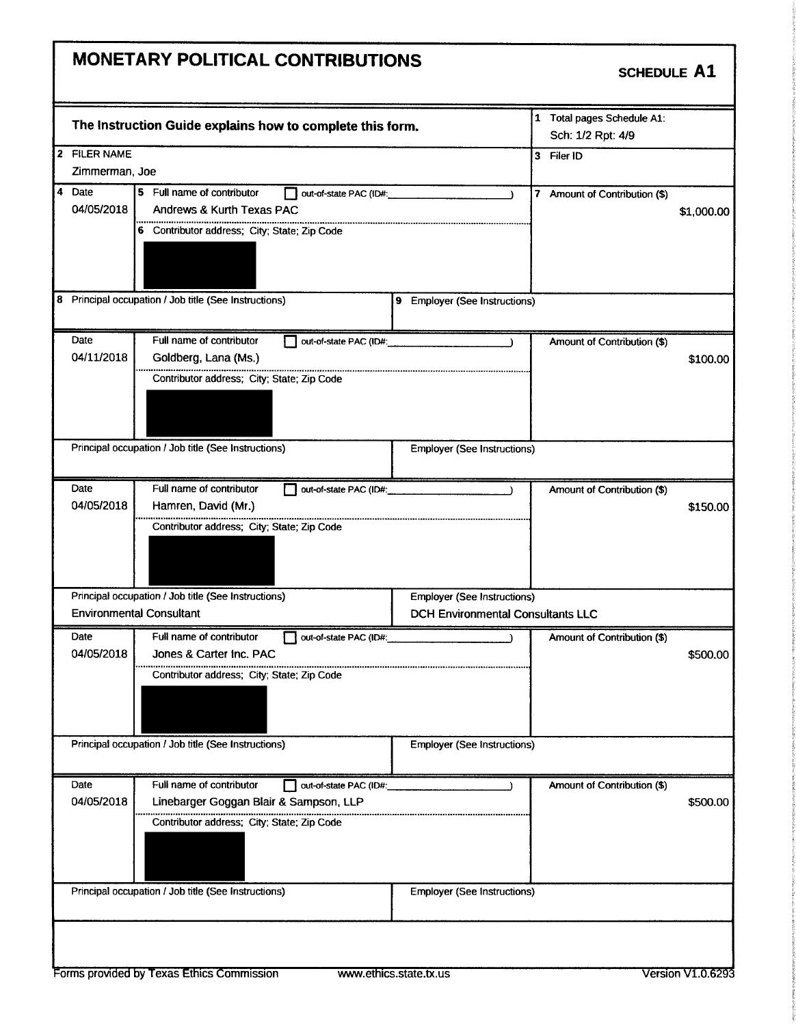# MONETARY POLITICAL CONTRIBUTIONS

## SCHEDULE A1

|                | The Instruction Guide explains how to complete this form. |                        |                                          |              | 1 Total pages Schedule A1:<br>Sch: 1/2 Rpt: 4/9 |            |
|----------------|-----------------------------------------------------------|------------------------|------------------------------------------|--------------|-------------------------------------------------|------------|
| 2 FILER NAME   |                                                           |                        |                                          | $\mathbf{3}$ | Filer ID                                        |            |
| Zimmerman, Joe |                                                           |                        |                                          |              |                                                 |            |
| 4 Date         | 5 Full name of contributor                                | out-of-state PAC (ID#: | $\lambda$                                | 7            | Amount of Contribution (\$)                     |            |
| 04/05/2018     | Andrews & Kurth Texas PAC                                 |                        |                                          |              |                                                 | \$1,000.00 |
|                | 6 Contributor address; City; State; Zip Code              |                        |                                          |              |                                                 |            |
|                |                                                           |                        |                                          |              |                                                 |            |
|                |                                                           |                        |                                          |              |                                                 |            |
|                |                                                           |                        |                                          |              |                                                 |            |
|                | 8 Principal occupation / Job title (See Instructions)     |                        | 9 Employer (See Instructions)            |              |                                                 |            |
|                |                                                           |                        |                                          |              |                                                 |            |
| Date           | Full name of contributor                                  | out-of-state PAC (ID#: |                                          |              | Amount of Contribution (\$)                     |            |
| 04/11/2018     | Goldberg, Lana (Ms.)                                      |                        |                                          |              |                                                 | \$100.00   |
|                | Contributor address; City; State; Zip Code                |                        |                                          |              |                                                 |            |
|                |                                                           |                        |                                          |              |                                                 |            |
|                |                                                           |                        |                                          |              |                                                 |            |
|                |                                                           |                        |                                          |              |                                                 |            |
|                | Principal occupation / Job title (See Instructions)       |                        | <b>Employer (See Instructions)</b>       |              |                                                 |            |
|                |                                                           |                        |                                          |              |                                                 |            |
| Date           | Full name of contributor                                  | out-of-state PAC (ID#: |                                          |              | Amount of Contribution (\$)                     |            |
| 04/05/2018     | Hamren, David (Mr.)                                       |                        |                                          |              |                                                 | \$150.00   |
|                | Contributor address; City; State; Zip Code                |                        |                                          |              |                                                 |            |
|                |                                                           |                        |                                          |              |                                                 |            |
|                |                                                           |                        |                                          |              |                                                 |            |
|                |                                                           |                        |                                          |              |                                                 |            |
|                | Principal occupation / Job title (See Instructions)       |                        | <b>Employer (See Instructions)</b>       |              |                                                 |            |
|                | <b>Environmental Consultant</b>                           |                        | <b>DCH Environmental Consultants LLC</b> |              |                                                 |            |
| Date           | Full name of contributor                                  | out-of-state PAC (ID#: | $\rightarrow$                            |              | Amount of Contribution (\$)                     |            |
| 04/05/2018     | Jones & Carter Inc. PAC                                   |                        |                                          |              |                                                 | \$500.00   |
|                | Contributor address; City; State; Zip Code                |                        |                                          |              |                                                 |            |
|                |                                                           |                        |                                          |              |                                                 |            |
|                |                                                           |                        |                                          |              |                                                 |            |
|                |                                                           |                        |                                          |              |                                                 |            |
|                | Principal occupation / Job title (See Instructions)       |                        | <b>Employer (See Instructions)</b>       |              |                                                 |            |
|                |                                                           |                        |                                          |              |                                                 |            |
| Date           | Full name of contributor                                  |                        |                                          |              |                                                 |            |
| 04/05/2018     | Linebarger Goggan Blair & Sampson, LLP                    | out-of-state PAC (ID#: |                                          |              | Amount of Contribution (\$)                     | \$500.00   |
|                |                                                           |                        |                                          |              |                                                 |            |
|                | Contributor address; City; State; Zip Code                |                        |                                          |              |                                                 |            |
|                |                                                           |                        |                                          |              |                                                 |            |
|                |                                                           |                        |                                          |              |                                                 |            |
|                | Principal occupation / Job title (See Instructions)       |                        | <b>Employer (See Instructions)</b>       |              |                                                 |            |
|                |                                                           |                        |                                          |              |                                                 |            |
|                |                                                           |                        |                                          |              |                                                 |            |
|                |                                                           |                        |                                          |              |                                                 |            |
|                |                                                           |                        |                                          |              |                                                 |            |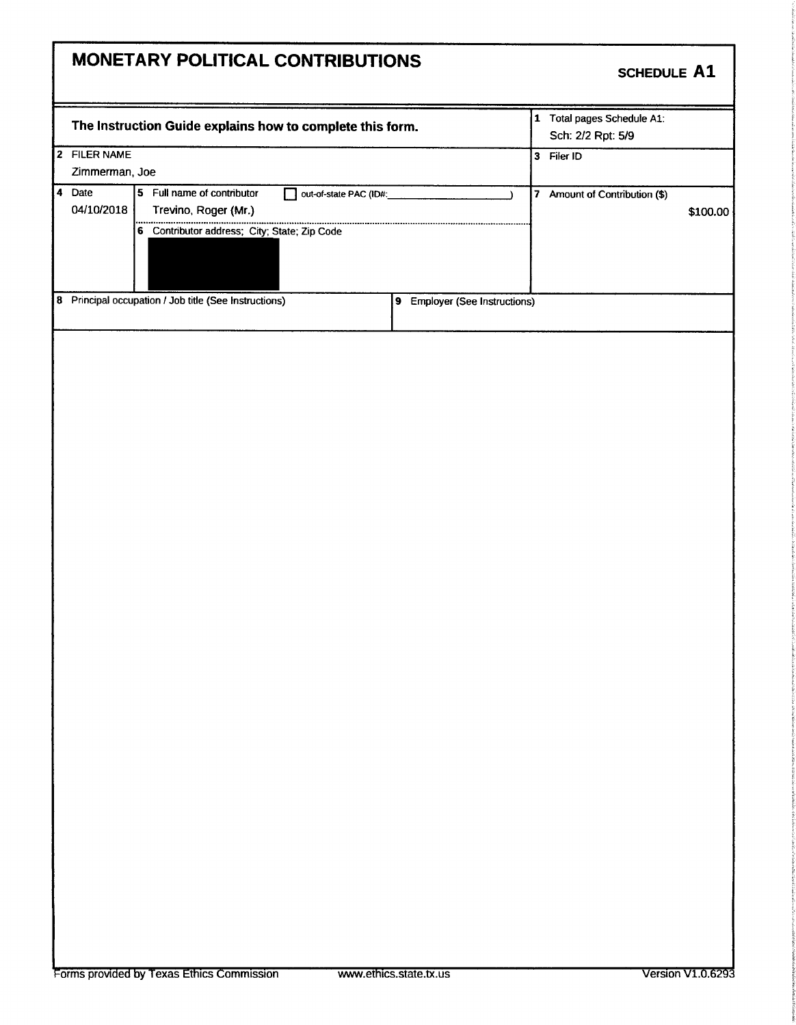# MONETARY POLITICAL CONTRIBUTIONS SCHEDULE A1 <sup>1</sup> Total pages Schedule Al: The Instruction Guide explains how to complete this form. Sch: 2/2 Rpt: 5/9 2 FILER NAME 3 Filer ID Zimmerman, Joe 4 Date 5 Full name of contributor 04/10/2018 Trevino, Roger (Mr.) **04/ 100.00 100.000 100.000 100.000 100.000 100.000 100.000 100.000 100.000 100.000 100.000 100.000 100.000 100.000 100.000 100.000 100.000 100.000 100.000 100.000 100.000 100.000 100.000 100.000 100.000 100.000 100.000 10** 6 Contributor address; City; State; Zip Code ............ ............ 8 Principal occupation / Job title (See Instructions) 9 Employer (See Instructions)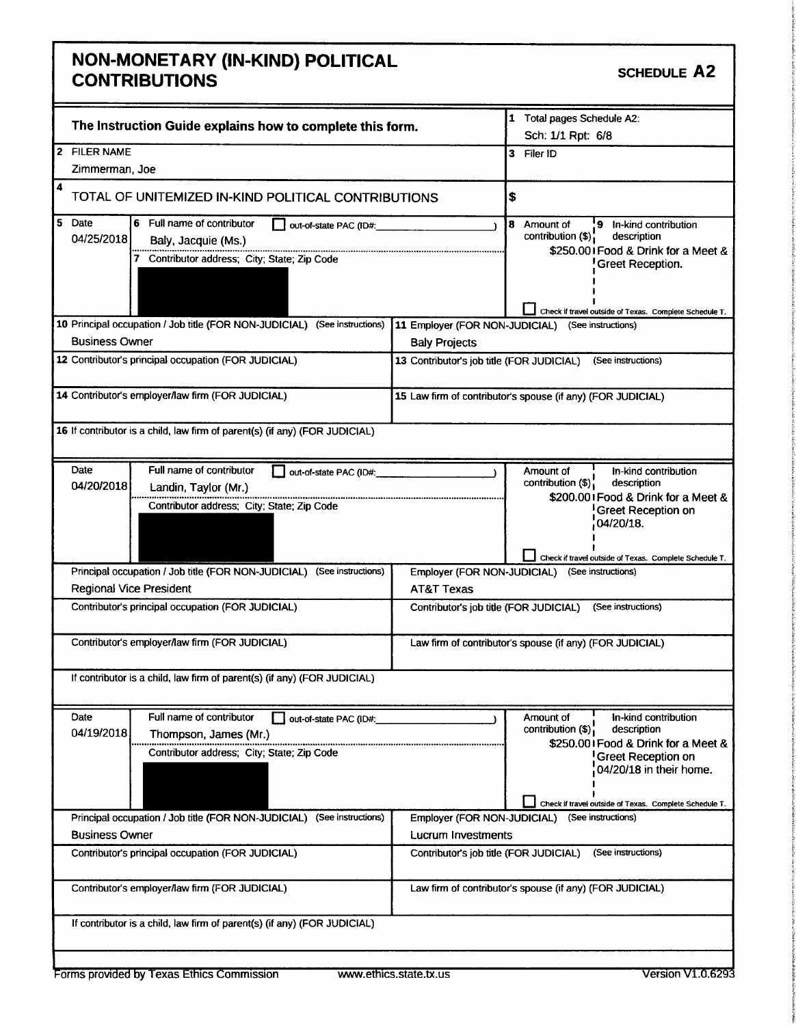## **NON-MONETARY (IN-KIND) POLITICAL** CONTRIBUTIONS CONTRIBUTIONS

interesting

t

i`

k

s.

|                                | The Instruction Guide explains how to complete this form.                                                                 | 1 Total pages Schedule A2:<br>Sch: 1/1 Rpt: 6/8                                                                                                                                                 |                                                                                                                                                                                                                                               |  |
|--------------------------------|---------------------------------------------------------------------------------------------------------------------------|-------------------------------------------------------------------------------------------------------------------------------------------------------------------------------------------------|-----------------------------------------------------------------------------------------------------------------------------------------------------------------------------------------------------------------------------------------------|--|
| <b>FILER NAME</b><br>12        |                                                                                                                           |                                                                                                                                                                                                 | 3 Filer ID                                                                                                                                                                                                                                    |  |
| Zimmerman, Joe                 |                                                                                                                           |                                                                                                                                                                                                 |                                                                                                                                                                                                                                               |  |
| 4                              | TOTAL OF UNITEMIZED IN-KIND POLITICAL CONTRIBUTIONS                                                                       |                                                                                                                                                                                                 | \$                                                                                                                                                                                                                                            |  |
| l 5<br>Date<br>04/25/2018      | 6 Full name of contributor<br>out-of-state PAC (ID#:<br>Baly, Jacquie (Ms.)<br>Contributor address; City; State; Zip Code | 8 Amount of<br>9 In-kind contribution<br>contribution (\$);<br>description<br>\$250.001 Food & Drink for a Meet &<br>Greet Reception.<br>Check if travel outside of Texas. Complete Schedule T. |                                                                                                                                                                                                                                               |  |
|                                | 10 Principal occupation / Job title (FOR NON-JUDICIAL) (See instructions)                                                 | 11 Employer (FOR NON-JUDICIAL)                                                                                                                                                                  | (See instructions)                                                                                                                                                                                                                            |  |
| <b>Business Owner</b>          |                                                                                                                           | <b>Baly Projects</b>                                                                                                                                                                            |                                                                                                                                                                                                                                               |  |
|                                | 12 Contributor's principal occupation (FOR JUDICIAL)                                                                      | 13 Contributor's job title (FOR JUDICIAL)                                                                                                                                                       | (See instructions)                                                                                                                                                                                                                            |  |
|                                | 14 Contributor's employer/law firm (FOR JUDICIAL)                                                                         |                                                                                                                                                                                                 | 15 Law firm of contributor's spouse (if any) (FOR JUDICIAL)                                                                                                                                                                                   |  |
|                                | 16 If contributor is a child, law firm of parent(s) (if any) (FOR JUDICIAL)                                               |                                                                                                                                                                                                 |                                                                                                                                                                                                                                               |  |
| Date<br>04/20/2018             | Full name of contributor<br>out-of-state PAC (ID#:<br>Landin, Taylor (Mr.)<br>Contributor address; City; State; Zip Code  |                                                                                                                                                                                                 | In-kind contribution<br>Amount of<br>contribution (\$);<br>description<br>\$200.001 Food & Drink for a Meet &<br><b>Greet Reception on</b><br>04/20/18.                                                                                       |  |
|                                |                                                                                                                           |                                                                                                                                                                                                 | Check if travel outside of Texas. Complete Schedule T.                                                                                                                                                                                        |  |
|                                | Principal occupation / Job title (FOR NON-JUDICIAL)<br>(See instructions)                                                 | Employer (FOR NON-JUDICIAL)                                                                                                                                                                     | (See instructions)                                                                                                                                                                                                                            |  |
| <b>Regional Vice President</b> |                                                                                                                           | <b>AT&amp;T Texas</b>                                                                                                                                                                           |                                                                                                                                                                                                                                               |  |
|                                | Contributor's principal occupation (FOR JUDICIAL)                                                                         | Contributor's job title (FOR JUDICIAL)                                                                                                                                                          | (See instructions)                                                                                                                                                                                                                            |  |
|                                | Contributor's employer/law firm (FOR JUDICIAL)                                                                            |                                                                                                                                                                                                 | Law firm of contributor's spouse (if any) (FOR JUDICIAL)                                                                                                                                                                                      |  |
|                                | If contributor is a child, law firm of parent(s) (if any) (FOR JUDICIAL)                                                  |                                                                                                                                                                                                 |                                                                                                                                                                                                                                               |  |
| Date<br>04/19/2018             | Full name of contributor<br>out-of-state PAC (ID#:<br>Thompson, James (Mr.)<br>Contributor address; City; State; Zip Code |                                                                                                                                                                                                 | in-kind contribution<br>Amount of<br>contribution $(\$)$ <sup>1</sup><br>description<br>\$250.001 Food & Drink for a Meet &<br><b>Greet Reception on</b><br>04/20/18 in their home.<br>Check if travel outside of Texas. Complete Schedule T. |  |
| <b>Business Owner</b>          | Principal occupation / Job title (FOR NON-JUDICIAL)<br>(See instructions)                                                 | <b>Lucrum Investments</b>                                                                                                                                                                       | Employer (FOR NON-JUDICIAL) (See instructions)                                                                                                                                                                                                |  |
|                                | Contributor's principal occupation (FOR JUDICIAL)                                                                         | Contributor's job title (FOR JUDICIAL)                                                                                                                                                          | (See instructions)                                                                                                                                                                                                                            |  |
|                                | Contributor's employer/law firm (FOR JUDICIAL)                                                                            |                                                                                                                                                                                                 | Law firm of contributor's spouse (if any) (FOR JUDICIAL)                                                                                                                                                                                      |  |
|                                | If contributor is a child, law firm of parent(s) (if any) (FOR JUDICIAL)                                                  |                                                                                                                                                                                                 |                                                                                                                                                                                                                                               |  |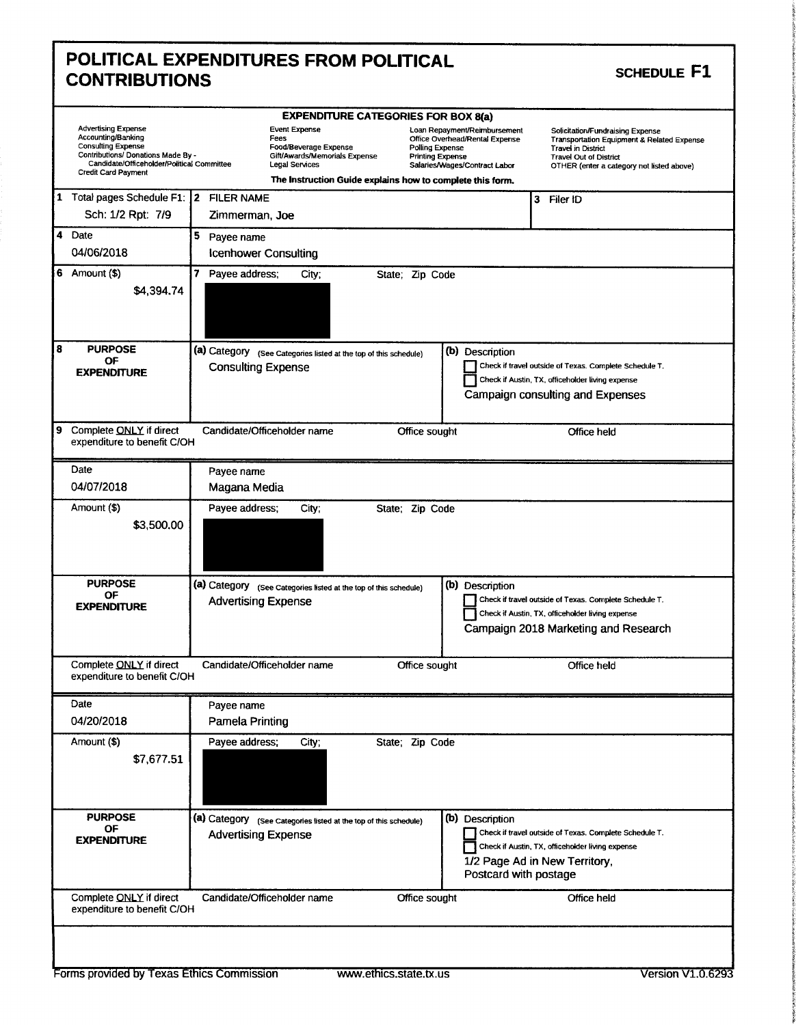| <b>CONTRIBUTIONS</b>                                                                                                                                              | POLITICAL EXPENDITURES FROM POLITICAL                                                                                                                         |                                                                                                                                                      | SCHEDULE F1                                                                                                                                                                               |
|-------------------------------------------------------------------------------------------------------------------------------------------------------------------|---------------------------------------------------------------------------------------------------------------------------------------------------------------|------------------------------------------------------------------------------------------------------------------------------------------------------|-------------------------------------------------------------------------------------------------------------------------------------------------------------------------------------------|
| <b>Advertising Expense</b><br>Accounting/Banking<br><b>Consulting Expense</b><br>Contributions/ Donations Made By -<br>Candidate/Officeholder/Political Committee | <b>EXPENDITURE CATEGORIES FOR BOX 8(a)</b><br><b>Event Expense</b><br>Fees<br>Food/Beverage Expense<br>Gift/Awards/Memorials Expense<br><b>Legal Services</b> | Loan Repayment/Reimbursement<br>Office Overhead/Rental Expense<br><b>Polling Expense</b><br><b>Printing Expense</b><br>Salaries/Wages/Contract Labor | Solicitation/Fundraising Expense<br>Transportation Equipment & Related Expense<br><b>Travel in District</b><br><b>Travel Out of District</b><br>OTHER (enter a category not listed above) |
| Credit Card Payment<br>1 Total pages Schedule F1: 2 FILER NAME                                                                                                    | The Instruction Guide explains how to complete this form.                                                                                                     |                                                                                                                                                      | Filer ID<br>3                                                                                                                                                                             |
| Sch: 1/2 Rpt: 7/9<br>4 Date                                                                                                                                       | Zimmerman, Joe                                                                                                                                                |                                                                                                                                                      |                                                                                                                                                                                           |
| 04/06/2018                                                                                                                                                        | 5 Payee name<br><b>Icenhower Consulting</b>                                                                                                                   |                                                                                                                                                      |                                                                                                                                                                                           |
| 6 Amount $($)$<br>\$4,394.74                                                                                                                                      | 7 Payee address;<br>City;                                                                                                                                     | State; Zip Code                                                                                                                                      |                                                                                                                                                                                           |
| <b>PURPOSE</b><br>OF<br><b>EXPENDITURE</b>                                                                                                                        | (a) Category (See Categories listed at the top of this schedule)<br><b>Consulting Expense</b>                                                                 | (b) Description                                                                                                                                      | Check if travel outside of Texas. Complete Schedule T.<br>Check if Austin, TX, officeholder living expense<br>Campaign consulting and Expenses                                            |
| 9 Complete ONLY if direct<br>expenditure to benefit C/OH                                                                                                          | Candidate/Officeholder name                                                                                                                                   | Office sought                                                                                                                                        | Office held                                                                                                                                                                               |
| Date                                                                                                                                                              | Payee name                                                                                                                                                    |                                                                                                                                                      |                                                                                                                                                                                           |
| 04/07/2018<br>Amount (\$)<br>\$3,500.00                                                                                                                           | Magana Media<br>Payee address:<br>City:                                                                                                                       | State; Zip Code                                                                                                                                      |                                                                                                                                                                                           |
| <b>PURPOSE</b><br>ОF<br><b>EXPENDITURE</b>                                                                                                                        | (a) Category (see Categories listed at the top of this schedule)<br><b>Advertising Expense</b>                                                                | (b) Description                                                                                                                                      | Check if travel outside of Texas. Complete Schedule T.<br>Check if Austin, TX, officeholder living expense<br>Campaign 2018 Marketing and Research                                        |
| Complete ONLY if direct<br>expenditure to benefit C/OH                                                                                                            | Candidate/Officeholder name                                                                                                                                   | Office sought                                                                                                                                        | Office held                                                                                                                                                                               |
| Date<br>04/20/2018                                                                                                                                                | Payee name<br>Pamela Printing                                                                                                                                 |                                                                                                                                                      |                                                                                                                                                                                           |
| Amount (\$)<br>\$7,677.51                                                                                                                                         | Payee address;<br>City;                                                                                                                                       | State; Zip Code                                                                                                                                      |                                                                                                                                                                                           |
| <b>PURPOSE</b><br>ΟF<br><b>EXPENDITURE</b>                                                                                                                        | (a) Category (See Categories listed at the top of this schedule)<br><b>Advertising Expense</b>                                                                | (b) Description<br>Postcard with postage                                                                                                             | Check if travel outside of Texas. Complete Schedule T.<br>Check if Austin, TX, officeholder living expense<br>1/2 Page Ad in New Territory,                                               |
| Complete ONLY if direct                                                                                                                                           | Candidate/Officeholder name                                                                                                                                   | Office sought                                                                                                                                        | Office held                                                                                                                                                                               |

the control i. **there** f